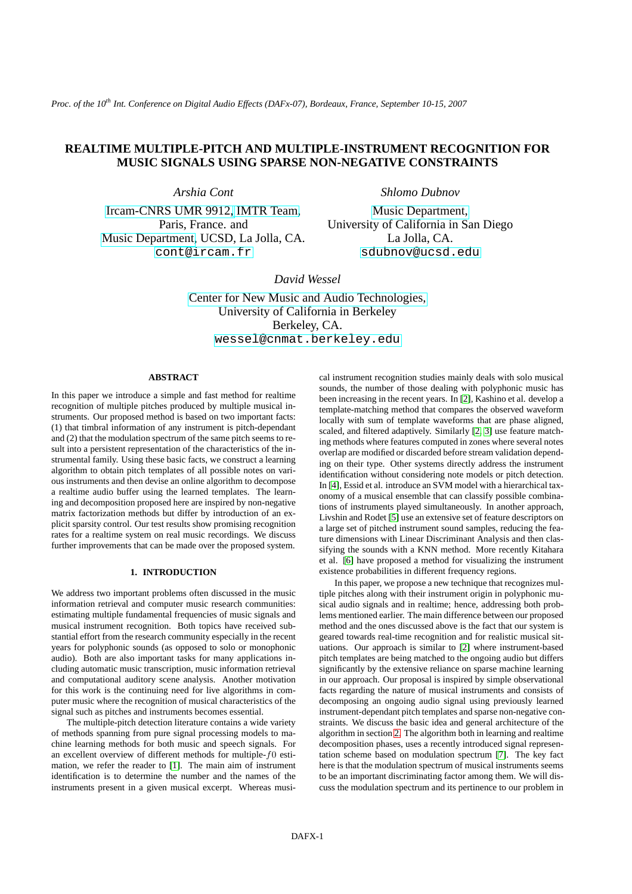*Proc. of the 10th Int. Conference on Digital Audio Effects (DAFx-07), Bordeaux, France, September 10-15, 2007*

# **REALTIME MULTIPLE-PITCH AND MULTIPLE-INSTRUMENT RECOGNITION FOR MUSIC SIGNALS USING SPARSE NON-NEGATIVE CONSTRAINTS**

*Arshia Cont*

[Ircam-CNRS UMR 9912,](http://www.ircam.fr/) [IMTR Team,](http://recherche.ircam.fr/equipes/temps-reel/suivi/Arshia/) Paris, France. and [Music Department,](http://music.ucsd.edu/) UCSD, La Jolla, CA. [cont@ircam.fr](mailto:cont@ircam.fr)

*Shlomo Dubnov*

[Music Department,](http://music.ucsd.edu/~sdubnov/) University of California in San Diego La Jolla, CA. [sdubnov@ucsd.edu](mailto:sdubnov@ucsd.edu)

*David Wessel*

[Center for New Music and Audio Technologies,](http://www.cnmat.berkeley.edu/) University of California in Berkeley Berkeley, CA. [wessel@cnmat.berkeley.edu](mailto:wessel@cnmat.berkeley.edu)

# **ABSTRACT**

In this paper we introduce a simple and fast method for realtime recognition of multiple pitches produced by multiple musical instruments. Our proposed method is based on two important facts: (1) that timbral information of any instrument is pitch-dependant and (2) that the modulation spectrum of the same pitch seems to result into a persistent representation of the characteristics of the instrumental family. Using these basic facts, we construct a learning algorithm to obtain pitch templates of all possible notes on various instruments and then devise an online algorithm to decompose a realtime audio buffer using the learned templates. The learning and decomposition proposed here are inspired by non-negative matrix factorization methods but differ by introduction of an explicit sparsity control. Our test results show promising recognition rates for a realtime system on real music recordings. We discuss further improvements that can be made over the proposed system.

### **1. INTRODUCTION**

<span id="page-0-0"></span>We address two important problems often discussed in the music information retrieval and computer music research communities: estimating multiple fundamental frequencies of music signals and musical instrument recognition. Both topics have received substantial effort from the research community especially in the recent years for polyphonic sounds (as opposed to solo or monophonic audio). Both are also important tasks for many applications including automatic music transcription, music information retrieval and computational auditory scene analysis. Another motivation for this work is the continuing need for live algorithms in computer music where the recognition of musical characteristics of the signal such as pitches and instruments becomes essential.

The multiple-pitch detection literature contains a wide variety of methods spanning from pure signal processing models to machine learning methods for both music and speech signals. For an excellent overview of different methods for multiple-f0 estimation, we refer the reader to [\[1\]](#page-7-0). The main aim of instrument identification is to determine the number and the names of the instruments present in a given musical excerpt. Whereas musical instrument recognition studies mainly deals with solo musical sounds, the number of those dealing with polyphonic music has been increasing in the recent years. In [\[2\]](#page-7-1), Kashino et al. develop a template-matching method that compares the observed waveform locally with sum of template waveforms that are phase aligned, scaled, and filtered adaptively. Similarly [\[2,](#page-7-1) [3\]](#page-7-2) use feature matching methods where features computed in zones where several notes overlap are modified or discarded before stream validation depending on their type. Other systems directly address the instrument identification without considering note models or pitch detection. In [\[4\]](#page-7-3), Essid et al. introduce an SVM model with a hierarchical taxonomy of a musical ensemble that can classify possible combinations of instruments played simultaneously. In another approach, Livshin and Rodet [\[5\]](#page-7-4) use an extensive set of feature descriptors on a large set of pitched instrument sound samples, reducing the feature dimensions with Linear Discriminant Analysis and then classifying the sounds with a KNN method. More recently Kitahara et al. [\[6\]](#page-7-5) have proposed a method for visualizing the instrument existence probabilities in different frequency regions.

In this paper, we propose a new technique that recognizes multiple pitches along with their instrument origin in polyphonic musical audio signals and in realtime; hence, addressing both problems mentioned earlier. The main difference between our proposed method and the ones discussed above is the fact that our system is geared towards real-time recognition and for realistic musical situations. Our approach is similar to [\[2\]](#page-7-1) where instrument-based pitch templates are being matched to the ongoing audio but differs significantly by the extensive reliance on sparse machine learning in our approach. Our proposal is inspired by simple observational facts regarding the nature of musical instruments and consists of decomposing an ongoing audio signal using previously learned instrument-dependant pitch templates and sparse non-negative constraints. We discuss the basic idea and general architecture of the algorithm in section [2.](#page-1-0) The algorithm both in learning and realtime decomposition phases, uses a recently introduced signal representation scheme based on modulation spectrum [\[7\]](#page-7-6). The key fact here is that the modulation spectrum of musical instruments seems to be an important discriminating factor among them. We will discuss the modulation spectrum and its pertinence to our problem in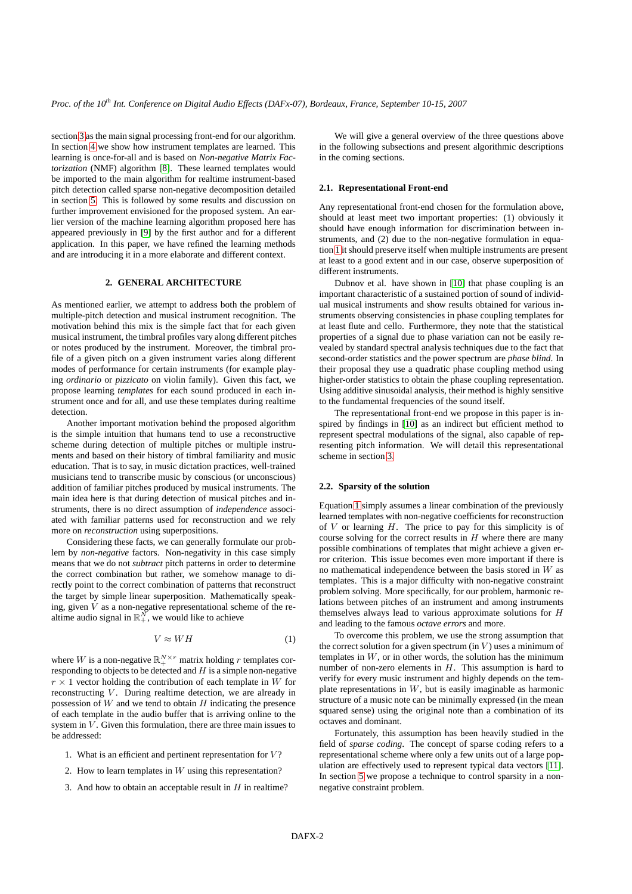section [3](#page-2-0) as the main signal processing front-end for our algorithm. In section [4](#page-3-0) we show how instrument templates are learned. This learning is once-for-all and is based on *Non-negative Matrix Factorization* (NMF) algorithm [\[8\]](#page-7-7). These learned templates would be imported to the main algorithm for realtime instrument-based pitch detection called sparse non-negative decomposition detailed in section [5.](#page-3-1) This is followed by some results and discussion on further improvement envisioned for the proposed system. An earlier version of the machine learning algorithm proposed here has appeared previously in [\[9\]](#page-7-8) by the first author and for a different application. In this paper, we have refined the learning methods and are introducing it in a more elaborate and different context.

#### **2. GENERAL ARCHITECTURE**

<span id="page-1-0"></span>As mentioned earlier, we attempt to address both the problem of multiple-pitch detection and musical instrument recognition. The motivation behind this mix is the simple fact that for each given musical instrument, the timbral profiles vary along different pitches or notes produced by the instrument. Moreover, the timbral profile of a given pitch on a given instrument varies along different modes of performance for certain instruments (for example playing *ordinario* or *pizzicato* on violin family). Given this fact, we propose learning *templates* for each sound produced in each instrument once and for all, and use these templates during realtime detection.

Another important motivation behind the proposed algorithm is the simple intuition that humans tend to use a reconstructive scheme during detection of multiple pitches or multiple instruments and based on their history of timbral familiarity and music education. That is to say, in music dictation practices, well-trained musicians tend to transcribe music by conscious (or unconscious) addition of familiar pitches produced by musical instruments. The main idea here is that during detection of musical pitches and instruments, there is no direct assumption of *independence* associated with familiar patterns used for reconstruction and we rely more on *reconstruction* using superpositions.

Considering these facts, we can generally formulate our problem by *non-negative* factors. Non-negativity in this case simply means that we do not *subtract* pitch patterns in order to determine the correct combination but rather, we somehow manage to directly point to the correct combination of patterns that reconstruct the target by simple linear superposition. Mathematically speaking, given  $V$  as a non-negative representational scheme of the realtime audio signal in  $\mathbb{R}_+^N$ , we would like to achieve

$$
V \approx WH \tag{1}
$$

<span id="page-1-1"></span>where W is a non-negative  $\mathbb{R}^{N \times r}_+$  matrix holding r templates corresponding to objects to be detected and  $H$  is a simple non-negative  $r \times 1$  vector holding the contribution of each template in W for reconstructing  $V$ . During realtime detection, we are already in possession of  $W$  and we tend to obtain  $H$  indicating the presence of each template in the audio buffer that is arriving online to the system in  $V$ . Given this formulation, there are three main issues to be addressed:

- 1. What is an efficient and pertinent representation for  $V$ ?
- 2. How to learn templates in  $W$  using this representation?
- 3. And how to obtain an acceptable result in  $H$  in realtime?

We will give a general overview of the three questions above in the following subsections and present algorithmic descriptions in the coming sections.

#### <span id="page-1-2"></span>**2.1. Representational Front-end**

Any representational front-end chosen for the formulation above, should at least meet two important properties: (1) obviously it should have enough information for discrimination between instruments, and (2) due to the non-negative formulation in equation [1](#page-1-1) it should preserve itself when multiple instruments are present at least to a good extent and in our case, observe superposition of different instruments.

Dubnov et al. have shown in [\[10\]](#page-7-9) that phase coupling is an important characteristic of a sustained portion of sound of individual musical instruments and show results obtained for various instruments observing consistencies in phase coupling templates for at least flute and cello. Furthermore, they note that the statistical properties of a signal due to phase variation can not be easily revealed by standard spectral analysis techniques due to the fact that second-order statistics and the power spectrum are *phase blind*. In their proposal they use a quadratic phase coupling method using higher-order statistics to obtain the phase coupling representation. Using additive sinusoidal analysis, their method is highly sensitive to the fundamental frequencies of the sound itself.

The representational front-end we propose in this paper is inspired by findings in [\[10\]](#page-7-9) as an indirect but efficient method to represent spectral modulations of the signal, also capable of representing pitch information. We will detail this representational scheme in section [3.](#page-2-0)

### **2.2. Sparsity of the solution**

<span id="page-1-3"></span>Equation [1](#page-1-1) simply assumes a linear combination of the previously learned templates with non-negative coefficients for reconstruction of  $V$  or learning  $H$ . The price to pay for this simplicity is of course solving for the correct results in  $H$  where there are many possible combinations of templates that might achieve a given error criterion. This issue becomes even more important if there is no mathematical independence between the basis stored in W as templates. This is a major difficulty with non-negative constraint problem solving. More specifically, for our problem, harmonic relations between pitches of an instrument and among instruments themselves always lead to various approximate solutions for H and leading to the famous *octave errors* and more.

To overcome this problem, we use the strong assumption that the correct solution for a given spectrum (in  $V$ ) uses a minimum of templates in  $W$ , or in other words, the solution has the minimum number of non-zero elements in  $H$ . This assumption is hard to verify for every music instrument and highly depends on the template representations in  $W$ , but is easily imaginable as harmonic structure of a music note can be minimally expressed (in the mean squared sense) using the original note than a combination of its octaves and dominant.

Fortunately, this assumption has been heavily studied in the field of *sparse coding*. The concept of sparse coding refers to a representational scheme where only a few units out of a large population are effectively used to represent typical data vectors [\[11\]](#page-7-10). In section [5](#page-3-1) we propose a technique to control sparsity in a nonnegative constraint problem.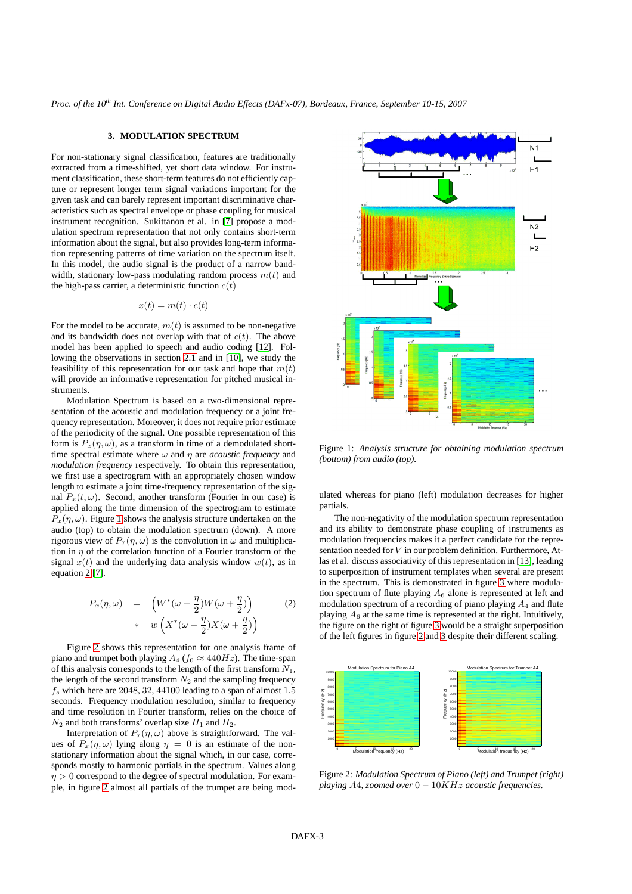### **3. MODULATION SPECTRUM**

<span id="page-2-0"></span>For non-stationary signal classification, features are traditionally extracted from a time-shifted, yet short data window. For instrument classification, these short-term features do not efficiently capture or represent longer term signal variations important for the given task and can barely represent important discriminative characteristics such as spectral envelope or phase coupling for musical instrument recognition. Sukittanon et al. in [\[7\]](#page-7-6) propose a modulation spectrum representation that not only contains short-term information about the signal, but also provides long-term information representing patterns of time variation on the spectrum itself. In this model, the audio signal is the product of a narrow bandwidth, stationary low-pass modulating random process  $m(t)$  and the high-pass carrier, a deterministic function  $c(t)$ 

$$
x(t) = m(t) \cdot c(t)
$$

For the model to be accurate,  $m(t)$  is assumed to be non-negative and its bandwidth does not overlap with that of  $c(t)$ . The above model has been applied to speech and audio coding [\[12\]](#page-7-11). Following the observations in section [2.1](#page-1-2) and in [\[10\]](#page-7-9), we study the feasibility of this representation for our task and hope that  $m(t)$ will provide an informative representation for pitched musical instruments.

Modulation Spectrum is based on a two-dimensional representation of the acoustic and modulation frequency or a joint frequency representation. Moreover, it does not require prior estimate of the periodicity of the signal. One possible representation of this form is  $P_x(\eta,\omega)$ , as a transform in time of a demodulated shorttime spectral estimate where  $\omega$  and  $\eta$  are *acoustic frequency* and *modulation frequency* respectively. To obtain this representation, we first use a spectrogram with an appropriately chosen window length to estimate a joint time-frequency representation of the signal  $P_x(t, \omega)$ . Second, another transform (Fourier in our case) is applied along the time dimension of the spectrogram to estimate  $P_x(\eta,\omega)$ . Figure [1](#page-2-1) shows the analysis structure undertaken on the audio (top) to obtain the modulation spectrum (down). A more rigorous view of  $P_x(\eta,\omega)$  is the convolution in  $\omega$  and multiplication in  $\eta$  of the correlation function of a Fourier transform of the signal  $x(t)$  and the underlying data analysis window  $w(t)$ , as in equation [2](#page-2-2) [\[7\]](#page-7-6).

$$
P_x(\eta, \omega) = \left( W^* (\omega - \frac{\eta}{2}) W(\omega + \frac{\eta}{2}) \right) \qquad (2)
$$
  
 
$$
* \quad w \left( X^* (\omega - \frac{\eta}{2}) X(\omega + \frac{\eta}{2}) \right)
$$

<span id="page-2-2"></span>Figure [2](#page-2-3) shows this representation for one analysis frame of piano and trumpet both playing  $A_4$  ( $f_0 \approx 440 Hz$ ). The time-span of this analysis corresponds to the length of the first transform  $N_1$ , the length of the second transform  $N_2$  and the sampling frequency  $f_s$  which here are 2048, 32, 44100 leading to a span of almost 1.5 seconds. Frequency modulation resolution, similar to frequency and time resolution in Fourier transform, relies on the choice of  $N_2$  and both transforms' overlap size  $H_1$  and  $H_2$ .

Interpretation of  $P_x(\eta,\omega)$  above is straightforward. The values of  $P_x(\eta,\omega)$  lying along  $\eta = 0$  is an estimate of the nonstationary information about the signal which, in our case, corresponds mostly to harmonic partials in the spectrum. Values along  $\eta > 0$  correspond to the degree of spectral modulation. For example, in figure [2](#page-2-3) almost all partials of the trumpet are being mod-



Figure 1: *Analysis structure for obtaining modulation spectrum (bottom) from audio (top).*

<span id="page-2-1"></span>ulated whereas for piano (left) modulation decreases for higher partials.

 $P_x(\eta,\omega) = \left(W^*(\omega-\frac{\eta}{2})W(\omega+\frac{\eta}{2})\right)$  (2) modulation spectrum of a recording of piano playing  $A_4$  and flute  $w\left(X^*(\omega - \frac{\eta}{2})X(\omega + \frac{\eta}{2})\right)$  the figure on the right of figure [3](#page-3-2) would be a straight superposition The non-negativity of the modulation spectrum representation and its ability to demonstrate phase coupling of instruments as modulation frequencies makes it a perfect candidate for the representation needed for V in our problem definition. Furthermore, Atlas et al. discuss associativity of this representation in [\[13\]](#page-7-12), leading to superposition of instrument templates when several are present in the spectrum. This is demonstrated in figure [3](#page-3-2) where modulation spectrum of flute playing  $A_6$  alone is represented at left and playing  $A_6$  at the same time is represented at the right. Intuitively, of the left figures in figure [2](#page-2-3) and [3](#page-3-2) despite their different scaling.



<span id="page-2-3"></span>Figure 2: *Modulation Spectrum of Piano (left) and Trumpet (right) playing* A4*, zoomed over* 0 − 10KHz *acoustic frequencies.*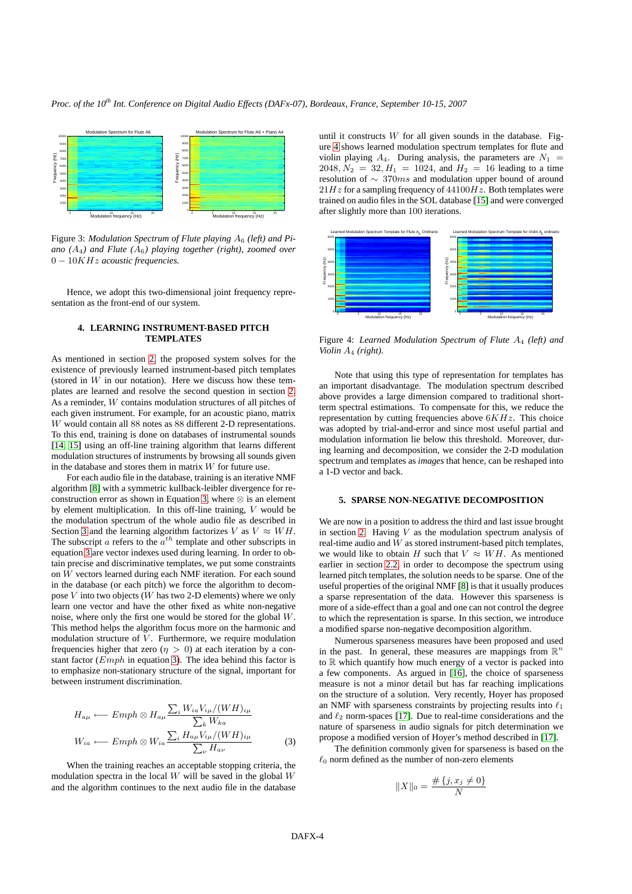

Figure 3: *Modulation Spectrum of Flute playing* A<sup>6</sup> *(left) and Piano (*A4*) and Flute (*A6*) playing together (right), zoomed over* 0 − 10KHz *acoustic frequencies.*

<span id="page-3-2"></span>Hence, we adopt this two-dimensional joint frequency representation as the front-end of our system.

### **4. LEARNING INSTRUMENT-BASED PITCH TEMPLATES**

<span id="page-3-0"></span>As mentioned in section [2,](#page-1-0) the proposed system solves for the existence of previously learned instrument-based pitch templates (stored in  $W$  in our notation). Here we discuss how these templates are learned and resolve the second question in section [2.](#page-1-0) As a reminder, W contains modulation structures of all pitches of each given instrument. For example, for an acoustic piano, matrix W would contain all 88 notes as 88 different 2-D representations. To this end, training is done on databases of instrumental sounds [\[14,](#page-7-13) [15\]](#page-7-14) using an off-line training algorithm that learns different modulation structures of instruments by browsing all sounds given in the database and stores them in matrix  $W$  for future use.

For each audio file in the database, training is an iterative NMF algorithm [\[8\]](#page-7-7) with a symmetric kullback-leibler divergence for reconstruction error as shown in Equation [3,](#page-3-3) where ⊗ is an element by element multiplication. In this off-line training, V would be the modulation spectrum of the whole audio file as described in Section [3](#page-2-0) and the learning algorithm factorizes V as  $V \approx WH$ . The subscript a refers to the  $a^{th}$  template and other subscripts in equation [3](#page-3-3) are vector indexes used during learning. In order to obtain precise and discriminative templates, we put some constraints on W vectors learned during each NMF iteration. For each sound in the database (or each pitch) we force the algorithm to decompose  $V$  into two objects ( $W$  has two 2-D elements) where we only learn one vector and have the other fixed as white non-negative noise, where only the first one would be stored for the global W. This method helps the algorithm focus more on the harmonic and modulation structure of  $V$ . Furthermore, we require modulation frequencies higher that zero ( $\eta > 0$ ) at each iteration by a constant factor ( $Emph$  in equation [3\)](#page-3-3). The idea behind this factor is to emphasize non-stationary structure of the signal, important for between instrument discrimination.

$$
H_{a\mu} \leftarrow \text{Exponentialatrix } H_{a\mu} \leftarrow \text{Exponential matrix } H_{a\mu} \leftarrow \text{Exponential matrix } H_{a\mu} \leftarrow \text{Exponential matrix } H_{a\mu} \leftarrow \text{Exponential matrix } H_{a\mu} \leftarrow \text{Exponential matrix } H_{a\mu} \leftarrow \text{Exponential matrix } H_{a\mu} \leftarrow \text{Exponential matrix } H_{a\mu} \leftarrow \text{Exponential matrix } H_{a\mu} \leftarrow \text{Exponential matrix } H_{a\mu} \leftarrow \text{Exponential matrix } H_{a\mu} \leftarrow \text{Exponential matrix } H_{a\mu} \leftarrow \text{Exponential matrix } H_{a\mu} \leftarrow \text{Exponential matrix } H_{a\mu} \leftarrow \text{Exponential matrix } H_{a\mu} \leftarrow \text{Exponential matrix } H_{a\mu} \leftarrow \text{Exponential matrix } H_{a\mu} \leftarrow \text{Exponential matrix } H_{a\mu} \leftarrow \text{Exponential matrix } H_{a\mu} \leftarrow \text{Exponential matrix } H_{a\mu} \leftarrow \text{Exponential matrix } H_{a\mu} \leftarrow \text{Exponential matrix } H_{a\mu} \leftarrow \text{Exponential matrix } H_{a\mu} \leftarrow \text{Exponential matrix } H_{a\mu} \leftarrow \text{Exponential matrix } H_{a\mu} \leftarrow \text{Exponential matrix } H_{a\mu} \leftarrow \text{Exponential matrix } H_{a\mu} \leftarrow \text{Exponential matrix } H_{a\mu} \leftarrow \text{Exponential matrix } H_{a\mu} \leftarrow \text{Exponential matrix } H_{a\mu} \leftarrow \text{Exponential matrix } H_{a\mu} \leftarrow \text{Exponential matrix } H_{a\mu} \leftarrow \text{Exponential matrix } H_{a\mu} \leftarrow \text{Exponential matrix } H_{a\mu} \leftarrow \text{Exponential matrix } H_{a\mu} \leftarrow \text{Exponential matrix } H_{a\mu} \leftarrow \text{Exponential matrix } H_{a\mu} \leftarrow \text{Exponential matrix } H_{a\mu} \leftarrow \text{Exponential matrix } H_{a\mu} \leftarrow \text{Exponential matrix } H_{a\mu} \leftarrow \text{Exponential matrix } H_{a\mu} \leftarrow \text{Exponential matrix } H_{a\mu} \leftarrow \text{Exponential matrix } H_{a\mu} \leftarrow \text{Exponential matrix } H_{a\mu} \leftarrow \text{Exponential matrix } H_{a\mu} \leftarrow \text{Exponential matrix } H_{a\mu} \leftarrow \text{Exponential matrix } H_{a\mu} \
$$

<span id="page-3-3"></span>When the training reaches an acceptable stopping criteria, the modulation spectra in the local  $W$  will be saved in the global  $W$ and the algorithm continues to the next audio file in the database until it constructs  $W$  for all given sounds in the database. Figure [4](#page-3-4) shows learned modulation spectrum templates for flute and violin playing  $A_4$ . During analysis, the parameters are  $N_1$  =  $2048, N_2 = 32, H_1 = 1024$ , and  $H_2 = 16$  leading to a time resolution of ∼ 370ms and modulation upper bound of around  $21Hz$  for a sampling frequency of  $44100Hz$ . Both templates were trained on audio files in the SOL database [\[15\]](#page-7-14) and were converged after slightly more than 100 iterations.



Figure 4: *Learned Modulation Spectrum of Flute* A<sup>4</sup> *(left) and Violin* A<sup>4</sup> *(right).*

<span id="page-3-4"></span>Note that using this type of representation for templates has an important disadvantage. The modulation spectrum described above provides a large dimension compared to traditional shortterm spectral estimations. To compensate for this, we reduce the representation by cutting frequencies above  $6KHz$ . This choice was adopted by trial-and-error and since most useful partial and modulation information lie below this threshold. Moreover, during learning and decomposition, we consider the 2-D modulation spectrum and templates as *images* that hence, can be reshaped into a 1-D vector and back.

#### **5. SPARSE NON-NEGATIVE DECOMPOSITION**

<span id="page-3-1"></span>We are now in a position to address the third and last issue brought in section [2.](#page-1-0) Having  $V$  as the modulation spectrum analysis of real-time audio and  $\tilde{W}$  as stored instrument-based pitch templates, we would like to obtain H such that  $V \approx WH$ . As mentioned earlier in section [2.2,](#page-1-3) in order to decompose the spectrum using learned pitch templates, the solution needs to be sparse. One of the useful properties of the original NMF [\[8\]](#page-7-7) is that it usually produces a sparse representation of the data. However this sparseness is more of a side-effect than a goal and one can not control the degree to which the representation is sparse. In this section, we introduce a modified sparse non-negative decomposition algorithm.

 $H_{a\mu} \leftarrow Emph \otimes H_{a\mu} \frac{\sum_{i} W_{ia}V_{i\mu}/(WH)_{i\mu}}{\sum_{i} W_{i\mu}}$  and  $\ell_2$  norm-spaces [\[17\]](#page-7-16). Due to real-time considerations and the Numerous sparseness measures have been proposed and used in the past. In general, these measures are mappings from  $\mathbb{R}^n$ to R which quantify how much energy of a vector is packed into a few components. As argued in [\[16\]](#page-7-15), the choice of sparseness measure is not a minor detail but has far reaching implications on the structure of a solution. Very recently, Hoyer has proposed an NMF with sparseness constraints by projecting results into  $\ell_1$ nature of sparseness in audio signals for pitch determination we

 $\sum_{\nu} H_{\alpha\nu}$  The definition commonly given for sparseness is based on the  $\ell_0$  norm defined as the number of non-zero elements

$$
||X||_0 = \frac{\#\{j, x_j \neq 0\}}{N}
$$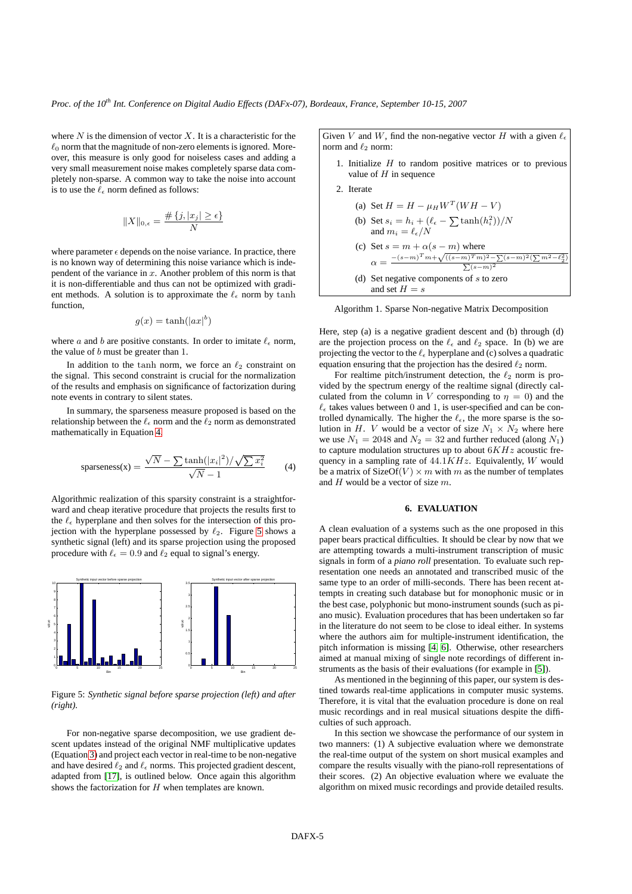where  $N$  is the dimension of vector  $X$ . It is a characteristic for the  $\ell_0$  norm that the magnitude of non-zero elements is ignored. Moreover, this measure is only good for noiseless cases and adding a very small measurement noise makes completely sparse data completely non-sparse. A common way to take the noise into account is to use the  $\ell_{\epsilon}$  norm defined as follows:

$$
||X||_{0,\epsilon} = \frac{\#\{j, |x_j| \geq \epsilon\}}{N}
$$

where parameter  $\epsilon$  depends on the noise variance. In practice, there is no known way of determining this noise variance which is independent of the variance in  $x$ . Another problem of this norm is that it is non-differentiable and thus can not be optimized with gradient methods. A solution is to approximate the  $\ell_{\epsilon}$  norm by tanh function.

$$
g(x) = \tanh(|ax|^b)
$$

where a and b are positive constants. In order to imitate  $\ell_{\epsilon}$  norm, the value of b must be greater than 1.

In addition to the tanh norm, we force an  $\ell_2$  constraint on the signal. This second constraint is crucial for the normalization of the results and emphasis on significance of factorization during note events in contrary to silent states.

In summary, the sparseness measure proposed is based on the relationship between the  $\ell_{\epsilon}$  norm and the  $\ell_2$  norm as demonstrated mathematically in Equation [4.](#page-4-0)

sparseness(x) = 
$$
\frac{\sqrt{N} - \sum \tanh(|x_i|^2)/\sqrt{\sum x_i^2}}{\sqrt{N} - 1}
$$
 (4)

<span id="page-4-0"></span>Algorithmic realization of this sparsity constraint is a straightforward and cheap iterative procedure that projects the results first to the  $\ell_{\epsilon}$  hyperplane and then solves for the intersection of this projection with the hyperplane possessed by  $\ell_2$ . Figure [5](#page-4-1) shows a synthetic signal (left) and its sparse projection using the proposed procedure with  $\ell_{\epsilon} = 0.9$  and  $\ell_2$  equal to signal's energy.



Figure 5: *Synthetic signal before sparse projection (left) and after (right).*

<span id="page-4-1"></span>For non-negative sparse decomposition, we use gradient descent updates instead of the original NMF multiplicative updates (Equation [3\)](#page-3-3) and project each vector in real-time to be non-negative and have desired  $\ell_2$  and  $\ell_\epsilon$  norms. This projected gradient descent, adapted from [\[17\]](#page-7-16), is outlined below. Once again this algorithm shows the factorization for  $H$  when templates are known.



- 1. Initialize  $H$  to random positive matrices or to previous value of  $H$  in sequence
	- 2. Iterate (a) Set  $H = H - \mu_H W^T (WH - V)$ (b) Set  $s_i = h_i + (\ell_{\epsilon} - \sum \tanh(h_i^2))/N$ and  $m_i = \ell_{\epsilon}/N$ (c) Set  $s = m + \alpha(s - m)$  where  $\alpha = \frac{-(s-m)^T m + \sqrt{((s-m)^T m)^2 - \sum (s-m)^2 (\sum m^2 - \ell_2^2)}}{\sum (s-m)^2}$  $\sqrt{2-\sum(s-m)^2(\sum m^2-\ell_0^2)}$  $\sqrt[2]{2(\sum m^2 - \ell_2^2)}$ 
		- (d) Set negative components of  $s$  to zero and set  $H = s$

Algorithm 1. Sparse Non-negative Matrix Decomposition

Here, step (a) is a negative gradient descent and (b) through (d) are the projection process on the  $\ell_{\epsilon}$  and  $\ell_{2}$  space. In (b) we are projecting the vector to the  $\ell_{\epsilon}$  hyperplane and (c) solves a quadratic equation ensuring that the projection has the desired  $\ell_2$  norm.

 $\sqrt{N} - \sum \tanh(|x_i|^2) / \sqrt{\sum x_i^2}$  (4) quency in a sampling rate of 44.1KHz. Equivalently, W would For realtime pitch/instrument detection, the  $\ell_2$  norm is provided by the spectrum energy of the realtime signal (directly calculated from the column in V corresponding to  $\eta = 0$ ) and the  $\ell_{\epsilon}$  takes values between 0 and 1, is user-specified and can be controlled dynamically. The higher the  $\ell_{\epsilon}$ , the more sparse is the solution in H. V would be a vector of size  $N_1 \times N_2$  where here we use  $N_1 = 2048$  and  $N_2 = 32$  and further reduced (along  $N_1$ ) to capture modulation structures up to about  $6KHz$  acoustic frebe a matrix of  $SizeOf(V) \times m$  with m as the number of templates and  $H$  would be a vector of size  $m$ .

#### **6. EVALUATION**

A clean evaluation of a systems such as the one proposed in this paper bears practical difficulties. It should be clear by now that we are attempting towards a multi-instrument transcription of music signals in form of a *piano roll* presentation. To evaluate such representation one needs an annotated and transcribed music of the same type to an order of milli-seconds. There has been recent attempts in creating such database but for monophonic music or in the best case, polyphonic but mono-instrument sounds (such as piano music). Evaluation procedures that has been undertaken so far in the literature do not seem to be close to ideal either. In systems where the authors aim for multiple-instrument identification, the pitch information is missing [\[4,](#page-7-3) [6\]](#page-7-5). Otherwise, other researchers aimed at manual mixing of single note recordings of different instruments as the basis of their evaluations (for example in [\[5\]](#page-7-4)).

As mentioned in the beginning of this paper, our system is destined towards real-time applications in computer music systems. Therefore, it is vital that the evaluation procedure is done on real music recordings and in real musical situations despite the difficulties of such approach.

In this section we showcase the performance of our system in two manners: (1) A subjective evaluation where we demonstrate the real-time output of the system on short musical examples and compare the results visually with the piano-roll representations of their scores. (2) An objective evaluation where we evaluate the algorithm on mixed music recordings and provide detailed results.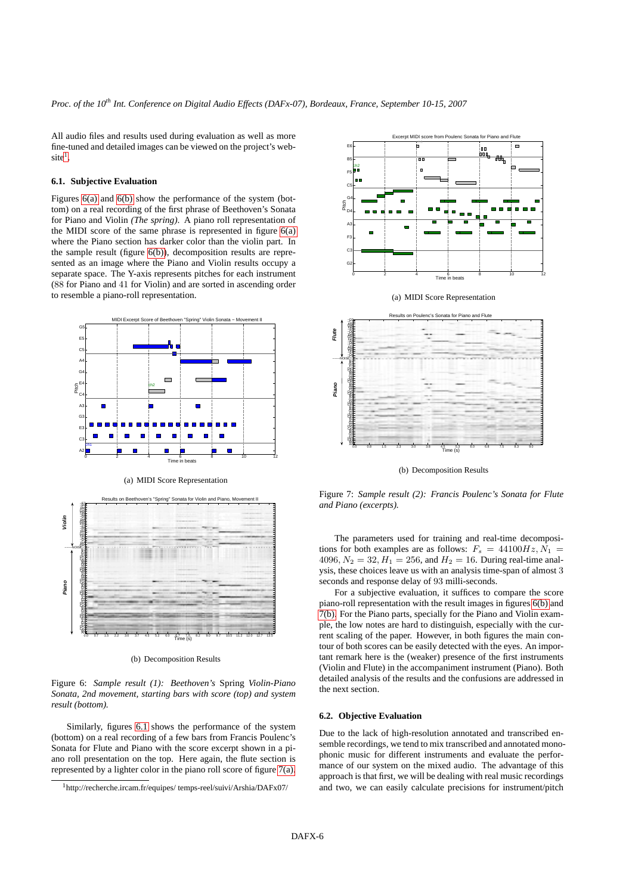All audio files and results used during evaluation as well as more fine-tuned and detailed images can be viewed on the project's web- $site<sup>1</sup>$  $site<sup>1</sup>$  $site<sup>1</sup>$ .

### **6.1. Subjective Evaluation**

Figures [6\(a\)](#page-5-1) and [6\(b\)](#page-5-2) show the performance of the system (bottom) on a real recording of the first phrase of Beethoven's Sonata for Piano and Violin *(The spring)*. A piano roll representation of the MIDI score of the same phrase is represented in figure [6\(a\)](#page-5-1) where the Piano section has darker color than the violin part. In the sample result (figure [6\(b\)\)](#page-5-2), decomposition results are represented as an image where the Piano and Violin results occupy a separate space. The Y-axis represents pitches for each instrument (88 for Piano and 41 for Violin) and are sorted in ascending order to resemble a piano-roll representation.

<span id="page-5-1"></span>



(b) Decomposition Results

<span id="page-5-2"></span>Figure 6: *Sample result (1): Beethoven's* Spring *Violin-Piano Sonata, 2nd movement, starting bars with score (top) and system result (bottom).*

<span id="page-5-3"></span>Similarly, figures [6.1](#page-5-3) shows the performance of the system (bottom) on a real recording of a few bars from Francis Poulenc's Sonata for Flute and Piano with the score excerpt shown in a piano roll presentation on the top. Here again, the flute section is represented by a lighter color in the piano roll score of figure [7\(a\).](#page-5-4)

<span id="page-5-4"></span>

(b) Decomposition Results

0.0 0.8 1.5 2.3 3.0 3.8 4.5 5.3 6.0 6.8 7.5 8.3 9.0

Time (s)

<span id="page-5-5"></span>Figure 7: *Sample result (2): Francis Poulenc's Sonata for Flute and Piano (excerpts).*

The parameters used for training and real-time decompositions for both examples are as follows:  $F_s = 44100Hz$ ,  $N_1 =$ 4096,  $N_2 = 32, H_1 = 256$ , and  $H_2 = 16$ . During real-time analysis, these choices leave us with an analysis time-span of almost 3 seconds and response delay of 93 milli-seconds.

For a subjective evaluation, it suffices to compare the score piano-roll representation with the result images in figures [6\(b\)](#page-5-2) and [7\(b\).](#page-5-5) For the Piano parts, specially for the Piano and Violin example, the low notes are hard to distinguish, especially with the current scaling of the paper. However, in both figures the main contour of both scores can be easily detected with the eyes. An important remark here is the (weaker) presence of the first instruments (Violin and Flute) in the accompaniment instrument (Piano). Both detailed analysis of the results and the confusions are addressed in the next section.

### **6.2. Objective Evaluation**

Due to the lack of high-resolution annotated and transcribed ensemble recordings, we tend to mix transcribed and annotated monophonic music for different instruments and evaluate the performance of our system on the mixed audio. The advantage of this approach is that first, we will be dealing with real music recordings and two, we can easily calculate precisions for instrument/pitch

<span id="page-5-0"></span><sup>1</sup>http://recherche.ircam.fr/equipes/ temps-reel/suivi/Arshia/DAFx07/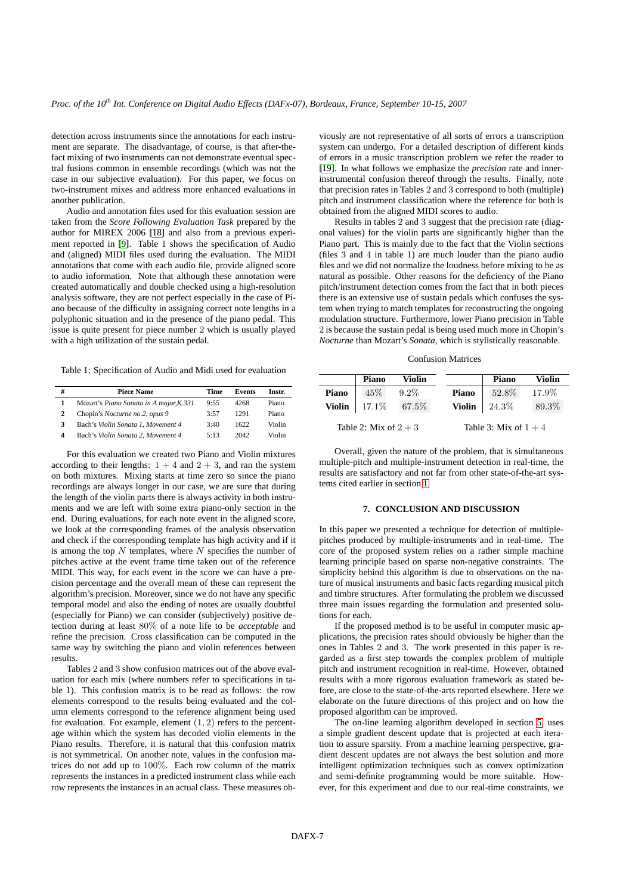detection across instruments since the annotations for each instrument are separate. The disadvantage, of course, is that after-thefact mixing of two instruments can not demonstrate eventual spectral fusions common in ensemble recordings (which was not the case in our subjective evaluation). For this paper, we focus on two-instrument mixes and address more enhanced evaluations in another publication.

Audio and annotation files used for this evaluation session are taken from the *Score Following Evaluation Task* prepared by the author for MIREX 2006 [\[18\]](#page-7-17) and also from a previous experiment reported in [\[9\]](#page-7-8). Table 1 shows the specification of Audio and (aligned) MIDI files used during the evaluation. The MIDI annotations that come with each audio file, provide aligned score to audio information. Note that although these annotation were created automatically and double checked using a high-resolution analysis software, they are not perfect especially in the case of Piano because of the difficulty in assigning correct note lengths in a polyphonic situation and in the presence of the piano pedal. This issue is quite present for piece number 2 which is usually played with a high utilization of the sustain pedal.

Table 1: Specification of Audio and Midi used for evaluation

| #            | <b>Piece Name</b>                       | Time | <b>Events</b> | Instr. |
|--------------|-----------------------------------------|------|---------------|--------|
|              | Mozart's Piano Sonata in A major, K.331 | 9:55 | 4268          | Piano  |
| $\mathbf{2}$ | Chopin's Nocturne no.2, opus 9          | 3.57 | 1291          | Piano  |
| 3            | Bach's Violin Sonata 1. Movement 4      | 3:40 | 1622          | Violin |
| 4            | Bach's Violin Sonata 2, Movement 4      | 5.13 | 2042          | Violin |

For this evaluation we created two Piano and Violin mixtures according to their lengths:  $1 + 4$  and  $2 + 3$ , and ran the system on both mixtures. Mixing starts at time zero so since the piano recordings are always longer in our case, we are sure that during the length of the violin parts there is always activity in both instruments and we are left with some extra piano-only section in the end. During evaluations, for each note event in the aligned score, we look at the corresponding frames of the analysis observation and check if the corresponding template has high activity and if it is among the top  $N$  templates, where  $N$  specifies the number of pitches active at the event frame time taken out of the reference MIDI. This way, for each event in the score we can have a precision percentage and the overall mean of these can represent the algorithm's precision. Moreover, since we do not have any specific temporal model and also the ending of notes are usually doubtful (especially for Piano) we can consider (subjectively) positive detection during at least 80% of a note life to be *acceptable* and refine the precision. Cross classification can be computed in the same way by switching the piano and violin references between results.

Tables 2 and 3 show confusion matrices out of the above evaluation for each mix (where numbers refer to specifications in table 1). This confusion matrix is to be read as follows: the row elements correspond to the results being evaluated and the column elements correspond to the reference alignment being used for evaluation. For example, element  $(1, 2)$  refers to the percentage within which the system has decoded violin elements in the Piano results. Therefore, it is natural that this confusion matrix is not symmetrical. On another note, values in the confusion matrices do not add up to 100%. Each row column of the matrix represents the instances in a predicted instrument class while each row represents the instances in an actual class. These measures obviously are not representative of all sorts of errors a transcription system can undergo. For a detailed description of different kinds of errors in a music transcription problem we refer the reader to [\[19\]](#page-7-18). In what follows we emphasize the *precision* rate and innerinstrumental confusion thereof through the results. Finally, note that precision rates in Tables 2 and 3 correspond to both (multiple) pitch and instrument classification where the reference for both is obtained from the aligned MIDI scores to audio.

Results in tables 2 and 3 suggest that the precision rate (diagonal values) for the violin parts are significantly higher than the Piano part. This is mainly due to the fact that the Violin sections (files 3 and 4 in table 1) are much louder than the piano audio files and we did not normalize the loudness before mixing to be as natural as possible. Other reasons for the deficiency of the Piano pitch/instrument detection comes from the fact that in both pieces there is an extensive use of sustain pedals which confuses the system when trying to match templates for reconstructing the ongoing modulation structure. Furthermore, lower Piano precision in Table 2 is because the sustain pedal is being used much more in Chopin's *Nocturne* than Mozart's *Sonata*, which is stylistically reasonable.

#### Confusion Matrices

|                                                    | Piano | <b>Violin</b> |              | Piano                    | <b>Violin</b> |
|----------------------------------------------------|-------|---------------|--------------|--------------------------|---------------|
| <b>Piano</b>                                       | 45\%  | $9.2\%$       | <b>Piano</b> | 52.8%                    | 17.9%         |
| Violin                                             | 17.1% | 67.5%         |              | <b>Violin</b>   $24.3\%$ | 89.3%         |
| Table 2: Mix of $2 + 3$<br>Table 3: Mix of $1 + 4$ |       |               |              |                          |               |

Overall, given the nature of the problem, that is simultaneous multiple-pitch and multiple-instrument detection in real-time, the results are satisfactory and not far from other state-of-the-art systems cited earlier in section [1.](#page-0-0)

## **7. CONCLUSION AND DISCUSSION**

In this paper we presented a technique for detection of multiplepitches produced by multiple-instruments and in real-time. The core of the proposed system relies on a rather simple machine learning principle based on sparse non-negative constraints. The simplicity behind this algorithm is due to observations on the nature of musical instruments and basic facts regarding musical pitch and timbre structures. After formulating the problem we discussed three main issues regarding the formulation and presented solutions for each.

If the proposed method is to be useful in computer music applications, the precision rates should obviously be higher than the ones in Tables 2 and 3. The work presented in this paper is regarded as a first step towards the complex problem of multiple pitch and instrument recognition in real-time. However, obtained results with a more rigorous evaluation framework as stated before, are close to the state-of-the-arts reported elsewhere. Here we elaborate on the future directions of this project and on how the proposed algorithm can be improved.

The on-line learning algorithm developed in section [5,](#page-3-1) uses a simple gradient descent update that is projected at each iteration to assure sparsity. From a machine learning perspective, gradient descent updates are not always the best solution and more intelligent optimization techniques such as convex optimization and semi-definite programming would be more suitable. However, for this experiment and due to our real-time constraints, we